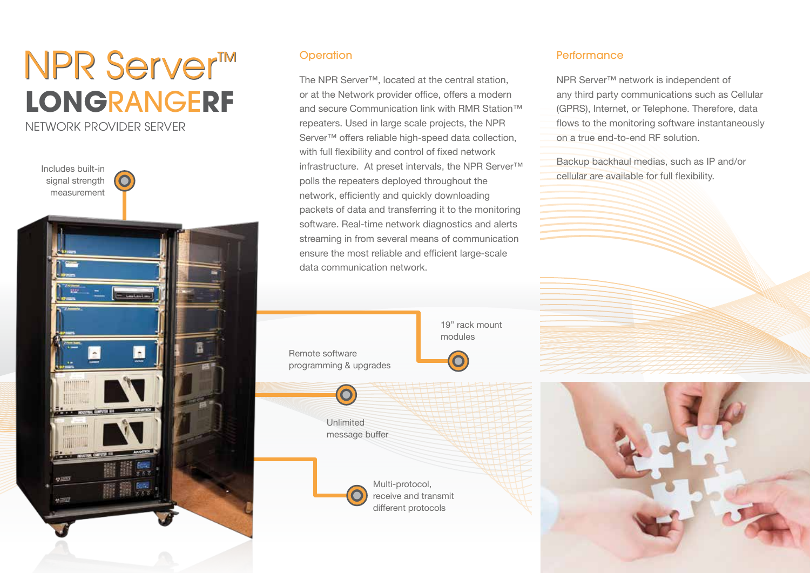# **LONG**RANGE**RF**  NPR Server<sup>™</sup> NETWORK PROVIDER SERVER



### **Operation**

The NPR Server™, located at the central station, or at the Network provider office, offers a modern and secure Communication link with RMR Station™ repeaters. Used in large scale projects, the NPR Server<sup>™</sup> offers reliable high-speed data collection, with full flexibility and control of fixed network infrastructure. At preset intervals, the NPR Server™ polls the repeaters deployed throughout the network, efficiently and quickly downloading packets of data and transferring it to the monitoring software. Real-time network diagnostics and alerts streaming in from several means of communication ensure the most reliable and efficient large-scale data communication network.

> 19" rack mount modules

# programming & upgrades

Unlimited message buffer



Multi-protocol, receive and transmit different protocols

#### **Performance**

NPR Server™ network is independent of any third party communications such as Cellular (GPRS), Internet, or Telephone. Therefore, data flows to the monitoring software instantaneously on a true end-to-end RF solution.

Backup backhaul medias, such as IP and/or cellular are available for full flexibility.